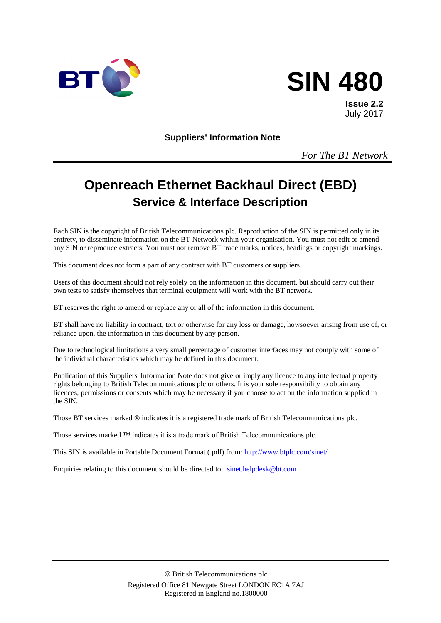



**Issue 2.2** July 2017

**Suppliers' Information Note**

*For The BT Network*

# **Openreach Ethernet Backhaul Direct (EBD) Service & Interface Description**

Each SIN is the copyright of British Telecommunications plc. Reproduction of the SIN is permitted only in its entirety, to disseminate information on the BT Network within your organisation. You must not edit or amend any SIN or reproduce extracts. You must not remove BT trade marks, notices, headings or copyright markings.

This document does not form a part of any contract with BT customers or suppliers.

Users of this document should not rely solely on the information in this document, but should carry out their own tests to satisfy themselves that terminal equipment will work with the BT network.

BT reserves the right to amend or replace any or all of the information in this document.

BT shall have no liability in contract, tort or otherwise for any loss or damage, howsoever arising from use of, or reliance upon, the information in this document by any person.

Due to technological limitations a very small percentage of customer interfaces may not comply with some of the individual characteristics which may be defined in this document.

Publication of this Suppliers' Information Note does not give or imply any licence to any intellectual property rights belonging to British Telecommunications plc or others. It is your sole responsibility to obtain any licences, permissions or consents which may be necessary if you choose to act on the information supplied in the SIN.

Those BT services marked ® indicates it is a registered trade mark of British Telecommunications plc.

Those services marked ™ indicates it is a trade mark of British Telecommunications plc.

This SIN is available in Portable Document Format (.pdf) from: <http://www.btplc.com/sinet/>

Enquiries relating to this document should be directed to: [sinet.helpdesk@bt.com](mailto:sinet.helpdesk@bt.com)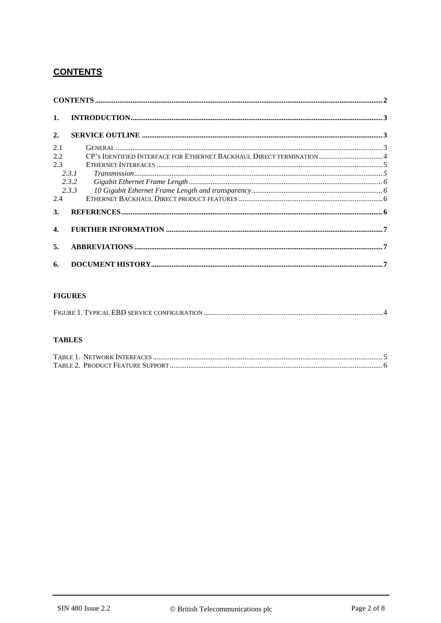## **CONTENTS**

| 1.           |       |                                                                       |  |
|--------------|-------|-----------------------------------------------------------------------|--|
| 2.           |       |                                                                       |  |
| 2.1          |       |                                                                       |  |
| 2.2          |       | CP's IDENTIFIED INTERFACE FOR ETHERNET BACKHAUL DIRECT TERMINATION  4 |  |
| 2.3          |       |                                                                       |  |
|              | 2.3.1 |                                                                       |  |
|              | 2.3.2 |                                                                       |  |
|              | 2.3.3 |                                                                       |  |
| 2.4          |       |                                                                       |  |
| 3.           |       |                                                                       |  |
| $\mathbf{4}$ |       |                                                                       |  |
| 5.           |       |                                                                       |  |
| 6.           |       |                                                                       |  |

#### **FIGURES**

#### **TABLES**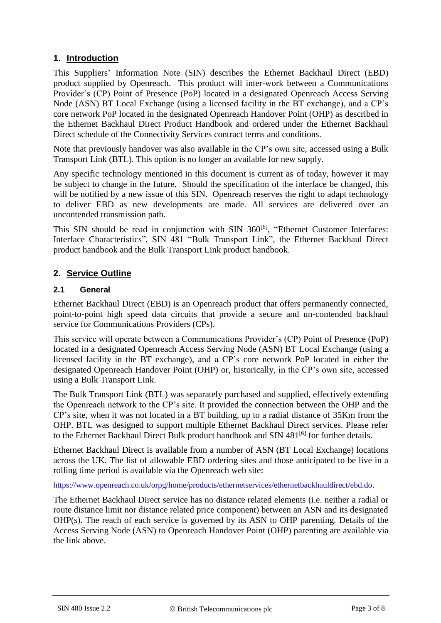## **1. Introduction**

This Suppliers' Information Note (SIN) describes the Ethernet Backhaul Direct (EBD) product supplied by Openreach. This product will inter-work between a Communications Provider's (CP) Point of Presence (PoP) located in a designated Openreach Access Serving Node (ASN) BT Local Exchange (using a licensed facility in the BT exchange), and a CP's core network PoP located in the designated Openreach Handover Point (OHP) as described in the Ethernet Backhaul Direct Product Handbook and ordered under the Ethernet Backhaul Direct schedule of the Connectivity Services contract terms and conditions.

Note that previously handover was also available in the CP's own site, accessed using a Bulk Transport Link (BTL). This option is no longer an available for new supply.

Any specific technology mentioned in this document is current as of today, however it may be subject to change in the future. Should the specification of the interface be changed, this will be notified by a new issue of this SIN. Openreach reserves the right to adapt technology to deliver EBD as new developments are made. All services are delivered over an uncontended transmission path.

This SIN should be read in conjunction with SIN 360<sup>[\[6\]](#page-5-0)</sup>, "Ethernet Customer Interfaces: Interface Characteristics", SIN 481 "Bulk Transport Link", the Ethernet Backhaul Direct product handbook and the Bulk Transport Link product handbook.

## **2. Service Outline**

## **2.1 General**

Ethernet Backhaul Direct (EBD) is an Openreach product that offers permanently connected, point-to-point high speed data circuits that provide a secure and un-contended backhaul service for Communications Providers (CPs).

This service will operate between a Communications Provider's (CP) Point of Presence (PoP) located in a designated Openreach Access Serving Node (ASN) BT Local Exchange (using a licensed facility in the BT exchange), and a CP's core network PoP located in either the designated Openreach Handover Point (OHP) or, historically, in the CP's own site, accessed using a Bulk Transport Link.

The Bulk Transport Link (BTL) was separately purchased and supplied, effectively extending the Openreach network to the CP's site. It provided the connection between the OHP and the CP's site, when it was not located in a BT building, up to a radial distance of 35Km from the OHP. BTL was designed to support multiple Ethernet Backhaul Direct services. Please refer to the Ethernet Backhaul Direct Bulk product handbook and SIN 481<sup>[\[6\]](#page-5-0)</sup> for further details.

Ethernet Backhaul Direct is available from a number of ASN (BT Local Exchange) locations across the UK. The list of allowable EBD ordering sites and those anticipated to be live in a rolling time period is available via the Openreach web site:

<https://www.openreach.co.uk/orpg/home/products/ethernetservices/ethernetbackhauldirect/ebd.do>.

The Ethernet Backhaul Direct service has no distance related elements (i.e. neither a radial or route distance limit nor distance related price component) between an ASN and its designated OHP(s). The reach of each service is governed by its ASN to OHP parenting. Details of the Access Serving Node (ASN) to Openreach Handover Point (OHP) parenting are available via the link above.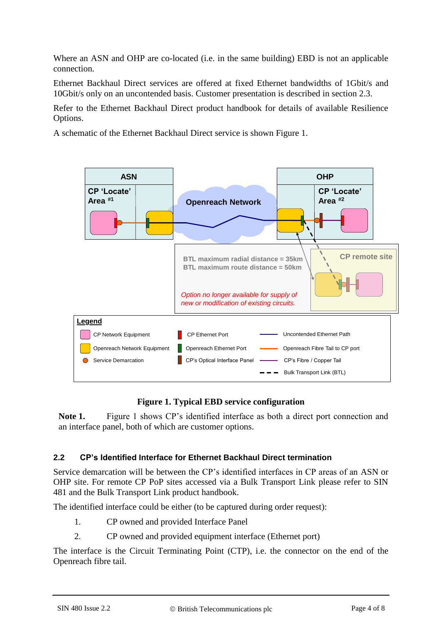Where an ASN and OHP are co-located (i.e. in the same building) EBD is not an applicable connection.

Ethernet Backhaul Direct services are offered at fixed Ethernet bandwidths of 1Gbit/s and 10Gbit/s only on an uncontended basis. Customer presentation is described in section [2.3.](#page-4-0)

Refer to the Ethernet Backhaul Direct product handbook for details of available Resilience Options.

A schematic of the Ethernet Backhaul Direct service is shown [Figure 1.](#page-3-0)



## **Figure 1. Typical EBD service configuration**

<span id="page-3-0"></span>**Note 1.** Figure 1 shows CP's identified interface as both a direct port connection and an interface panel, both of which are customer options.

## **2.2 CP's Identified Interface for Ethernet Backhaul Direct termination**

Service demarcation will be between the CP's identified interfaces in CP areas of an ASN or OHP site. For remote CP PoP sites accessed via a Bulk Transport Link please refer to SIN 481 and the Bulk Transport Link product handbook.

The identified interface could be either (to be captured during order request):

- 1. CP owned and provided Interface Panel
- 2. CP owned and provided equipment interface (Ethernet port)

The interface is the Circuit Terminating Point (CTP), i.e. the connector on the end of the Openreach fibre tail.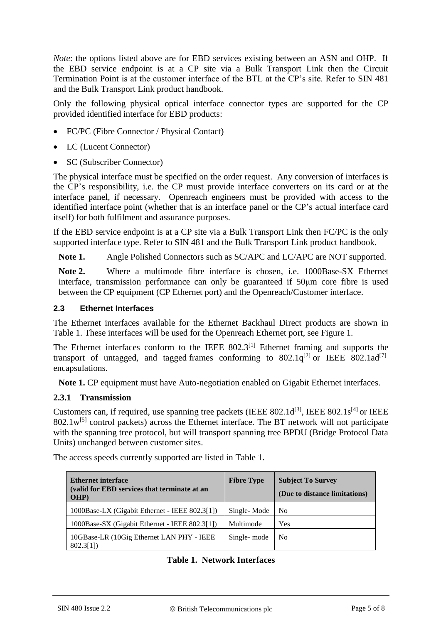*Note*: the options listed above are for EBD services existing between an ASN and OHP. If the EBD service endpoint is at a CP site via a Bulk Transport Link then the Circuit Termination Point is at the customer interface of the BTL at the CP's site. Refer to SIN 481 and the Bulk Transport Link product handbook.

Only the following physical optical interface connector types are supported for the CP provided identified interface for EBD products:

- FC/PC (Fibre Connector / Physical Contact)
- LC (Lucent Connector)
- SC (Subscriber Connector)

The physical interface must be specified on the order request. Any conversion of interfaces is the CP's responsibility, i.e. the CP must provide interface converters on its card or at the interface panel, if necessary. Openreach engineers must be provided with access to the identified interface point (whether that is an interface panel or the CP's actual interface card itself) for both fulfilment and assurance purposes.

If the EBD service endpoint is at a CP site via a Bulk Transport Link then FC/PC is the only supported interface type. Refer to SIN 481 and the Bulk Transport Link product handbook.

**Note 1.** Angle Polished Connectors such as SC/APC and LC/APC are NOT supported.

**Note 2.** Where a multimode fibre interface is chosen, i.e. 1000Base-SX Ethernet interface, transmission performance can only be guaranteed if 50μm core fibre is used between the CP equipment (CP Ethernet port) and the Openreach/Customer interface.

#### <span id="page-4-0"></span>**2.3 Ethernet Interfaces**

The Ethernet interfaces available for the Ethernet Backhaul Direct products are shown in [Table 1. T](#page-4-1)hese interfaces will be used for the Openreach Ethernet port, see [Figure 1.](#page-3-0)

The Ethernet interfaces conform to the IEEE  $802.3^{[1]}$  $802.3^{[1]}$  $802.3^{[1]}$  Ethernet framing and supports the transport of untagged, and tagged frames conforming to  $802.1q^{[2]}$  $802.1q^{[2]}$  $802.1q^{[2]}$  or IEEE  $802.1ad^{[7]}$ encapsulations.

**Note 1.** CP equipment must have Auto-negotiation enabled on Gigabit Ethernet interfaces.

#### **2.3.1 Transmission**

Customers can, if required, use spanning tree packets (IEEE  $802.1d^{[3]}$  $802.1d^{[3]}$  $802.1d^{[3]}$ , IEEE  $802.1s^{[4]}$  $802.1s^{[4]}$  $802.1s^{[4]}$  or IEEE  $802.1w^{[5]}$  $802.1w^{[5]}$  $802.1w^{[5]}$  control packets) across the Ethernet interface. The BT network will not participate with the spanning tree protocol, but will transport spanning tree BPDU (Bridge Protocol Data Units) unchanged between customer sites.

**Ethernet interface**

The access speeds currently supported are listed in [Table 1.](#page-4-1) 

<span id="page-4-1"></span>

| <b>Ethernet interface</b><br>(valid for EBD services that terminate at an<br>OHP) | <b>Fibre Type</b> | <b>Subject To Survey</b><br>(Due to distance limitations) |
|-----------------------------------------------------------------------------------|-------------------|-----------------------------------------------------------|
| 1000Base-LX (Gigabit Ethernet - IEEE 802.3[1])                                    | Single-Mode       | N <sub>0</sub>                                            |
| 1000Base-SX (Gigabit Ethernet - IEEE 802.3[1])                                    | Multimode         | <b>Yes</b>                                                |
| 10GBase-LR (10Gig Ethernet LAN PHY - IEEE<br>802.3[1]                             | Single-mode       | N <sub>0</sub>                                            |

#### **Table 1. Network Interfaces**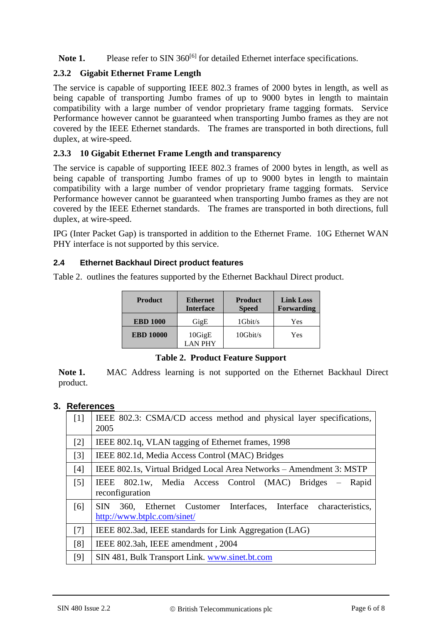Note 1. Please refer to SIN 360<sup>[\[6\]](#page-5-0)</sup> for detailed Ethernet interface specifications.

## **2.3.2 Gigabit Ethernet Frame Length**

The service is capable of supporting IEEE 802.3 frames of 2000 bytes in length, as well as being capable of transporting Jumbo frames of up to 9000 bytes in length to maintain compatibility with a large number of vendor proprietary frame tagging formats. Service Performance however cannot be guaranteed when transporting Jumbo frames as they are not covered by the IEEE Ethernet standards. The frames are transported in both directions, full duplex, at wire-speed.

## **2.3.3 10 Gigabit Ethernet Frame Length and transparency**

The service is capable of supporting IEEE 802.3 frames of 2000 bytes in length, as well as being capable of transporting Jumbo frames of up to 9000 bytes in length to maintain compatibility with a large number of vendor proprietary frame tagging formats. Service Performance however cannot be guaranteed when transporting Jumbo frames as they are not covered by the IEEE Ethernet standards. The frames are transported in both directions, full duplex, at wire-speed.

IPG (Inter Packet Gap) is transported in addition to the Ethernet Frame. 10G Ethernet WAN PHY interface is not supported by this service.

## **2.4 Ethernet Backhaul Direct product features**

[Table 2.](#page-5-6) outlines the features supported by the Ethernet Backhaul Direct product.

| <b>Product</b>   | <b>Ethernet</b><br><b>Interface</b> | <b>Product</b><br><b>Speed</b> | <b>Link Loss</b><br>Forwarding |
|------------------|-------------------------------------|--------------------------------|--------------------------------|
| <b>EBD 1000</b>  | GigE                                | $1$ Gbit/s                     | Yes                            |
| <b>EBD 10000</b> | 10GigE<br><b>LAN PHY</b>            | $10$ Gbit/s                    | Yes                            |

#### **Table 2. Product Feature Support**

<span id="page-5-6"></span>**Note 1.** MAC Address learning is not supported on the Ethernet Backhaul Direct product.

## **3. References**

<span id="page-5-5"></span><span id="page-5-4"></span><span id="page-5-3"></span><span id="page-5-2"></span><span id="page-5-1"></span><span id="page-5-0"></span>

| [1]               | IEEE 802.3: CSMA/CD access method and physical layer specifications,<br>2005                         |  |
|-------------------|------------------------------------------------------------------------------------------------------|--|
| $[2]$             | IEEE 802.1q, VLAN tagging of Ethernet frames, 1998                                                   |  |
| $\lceil 3 \rceil$ | IEEE 802.1d, Media Access Control (MAC) Bridges                                                      |  |
| [4]               | IEEE 802.1s, Virtual Bridged Local Area Networks – Amendment 3: MSTP                                 |  |
| $[5]$             | 802.1w, Media Access Control (MAC) Bridges – Rapid<br>IEEE<br>reconfiguration                        |  |
| [6]               | 360, Ethernet Customer Interfaces, Interface characteristics,<br>SIN.<br>http://www.btplc.com/sinet/ |  |
| [7]               | IEEE 802.3ad, IEEE standards for Link Aggregation (LAG)                                              |  |
| [8]               | IEEE 802.3ah, IEEE amendment, 2004                                                                   |  |
| [9]               | SIN 481, Bulk Transport Link. www.sinet.bt.com                                                       |  |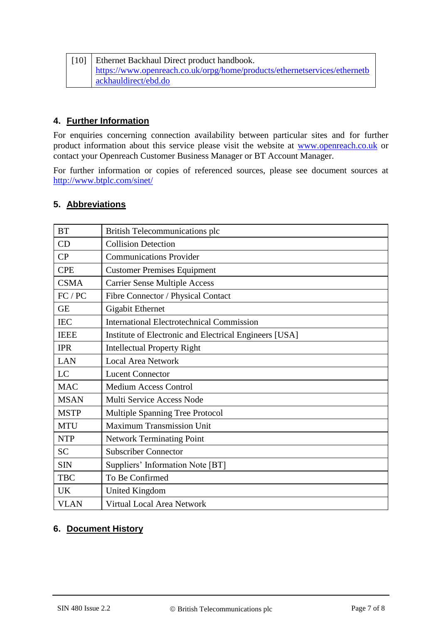| [10]   Ethernet Backhaul Direct product handbook.                         |  |
|---------------------------------------------------------------------------|--|
| https://www.openreach.co.uk/orpg/home/products/ethernetservices/ethernetb |  |
| ackhauldirect/ebd.do                                                      |  |

## **4. Further Information**

For enquiries concerning connection availability between particular sites and for further product information about this service please visit the website at [www.openreach.co.uk](http://www.openreach.co.uk/) or contact your Openreach Customer Business Manager or BT Account Manager.

For further information or copies of referenced sources, please see document sources at <http://www.btplc.com/sinet/>

## **5. Abbreviations**

| <b>BT</b>                                                             | <b>British Telecommunications plc</b>            |  |
|-----------------------------------------------------------------------|--------------------------------------------------|--|
| CD                                                                    | <b>Collision Detection</b>                       |  |
| CP<br><b>Communications Provider</b>                                  |                                                  |  |
| <b>CPE</b>                                                            | <b>Customer Premises Equipment</b>               |  |
| <b>CSMA</b>                                                           | <b>Carrier Sense Multiple Access</b>             |  |
| FC / PC                                                               | Fibre Connector / Physical Contact               |  |
| <b>GE</b>                                                             | <b>Gigabit Ethernet</b>                          |  |
| <b>IEC</b>                                                            | <b>International Electrotechnical Commission</b> |  |
| <b>IEEE</b><br>Institute of Electronic and Electrical Engineers [USA] |                                                  |  |
| <b>IPR</b><br><b>Intellectual Property Right</b>                      |                                                  |  |
| <b>LAN</b>                                                            | <b>Local Area Network</b>                        |  |
| LC                                                                    | <b>Lucent Connector</b>                          |  |
| <b>MAC</b>                                                            | <b>Medium Access Control</b>                     |  |
| <b>MSAN</b>                                                           | Multi Service Access Node                        |  |
| <b>MSTP</b>                                                           | Multiple Spanning Tree Protocol                  |  |
| <b>MTU</b>                                                            | <b>Maximum Transmission Unit</b>                 |  |
| <b>NTP</b>                                                            | <b>Network Terminating Point</b>                 |  |
| <b>SC</b>                                                             | <b>Subscriber Connector</b>                      |  |
| <b>SIN</b>                                                            | Suppliers' Information Note [BT]                 |  |
| <b>TBC</b>                                                            | To Be Confirmed                                  |  |
| <b>UK</b>                                                             | <b>United Kingdom</b>                            |  |
| <b>VLAN</b>                                                           | <b>Virtual Local Area Network</b>                |  |

## **6. Document History**